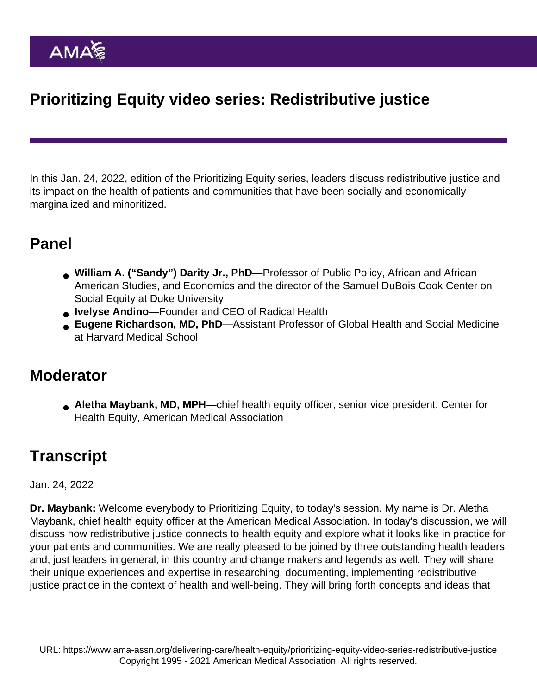# Prioritizing Equity video series: Redistributive justice

In this Jan. 24, 2022, edition of the [Prioritizing Equity](https://www.ama-assn.org/delivering-care/health-equity/prioritizing-equity-video-series) series, leaders discuss redistributive justice and its impact on the health of patients and communities that have been socially and economically marginalized and minoritized.

# Panel

- William A. ("Sandy") Darity Jr., PhD —Professor of Public Policy, African and African American Studies, and Economics and the director of the Samuel DuBois Cook Center on Social Equity at Duke University
- Ivelyse Andino —Founder and CEO of Radical Health
- Eugene Richardson, MD, PhD —Assistant Professor of Global Health and Social Medicine at Harvard Medical School

## **Moderator**

Aletha Maybank, MD, MPH —chief health equity officer, senior vice president, Center for Health Equity, American Medical Association

# **Transcript**

## Jan. 24, 2022

Dr. Maybank: Welcome everybody to Prioritizing Equity, to today's session. My name is Dr. Aletha Maybank, chief health equity officer at the American Medical Association. In today's discussion, we will discuss how redistributive justice connects to health equity and explore what it looks like in practice for your patients and communities. We are really pleased to be joined by three outstanding health leaders and, just leaders in general, in this country and change makers and legends as well. They will share their unique experiences and expertise in researching, documenting, implementing redistributive justice practice in the context of health and well-being. They will bring forth concepts and ideas that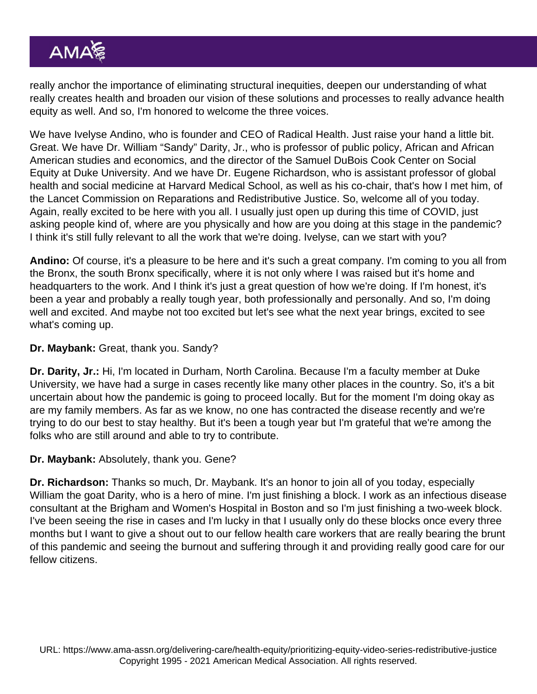really anchor the importance of eliminating structural inequities, deepen our understanding of what really creates health and broaden our vision of these solutions and processes to really advance health equity as well. And so, I'm honored to welcome the three voices.

We have Ivelyse Andino, who is founder and CEO of Radical Health. Just raise your hand a little bit. Great. We have Dr. William "Sandy" Darity, Jr., who is professor of public policy, African and African American studies and economics, and the director of the Samuel DuBois Cook Center on Social Equity at Duke University. And we have Dr. Eugene Richardson, who is assistant professor of global health and social medicine at Harvard Medical School, as well as his co-chair, that's how I met him, of the Lancet Commission on Reparations and Redistributive Justice. So, welcome all of you today. Again, really excited to be here with you all. I usually just open up during this time of COVID, just asking people kind of, where are you physically and how are you doing at this stage in the pandemic? I think it's still fully relevant to all the work that we're doing. Ivelyse, can we start with you?

Andino: Of course, it's a pleasure to be here and it's such a great company. I'm coming to you all from the Bronx, the south Bronx specifically, where it is not only where I was raised but it's home and headquarters to the work. And I think it's just a great question of how we're doing. If I'm honest, it's been a year and probably a really tough year, both professionally and personally. And so, I'm doing well and excited. And maybe not too excited but let's see what the next year brings, excited to see what's coming up.

#### Dr. Maybank: Great, thank you. Sandy?

Dr. Darity, Jr.: Hi, I'm located in Durham, North Carolina. Because I'm a faculty member at Duke University, we have had a surge in cases recently like many other places in the country. So, it's a bit uncertain about how the pandemic is going to proceed locally. But for the moment I'm doing okay as are my family members. As far as we know, no one has contracted the disease recently and we're trying to do our best to stay healthy. But it's been a tough year but I'm grateful that we're among the folks who are still around and able to try to contribute.

### Dr. Maybank: Absolutely, thank you. Gene?

Dr. Richardson: Thanks so much, Dr. Maybank. It's an honor to join all of you today, especially William the goat Darity, who is a hero of mine. I'm just finishing a block. I work as an infectious disease consultant at the Brigham and Women's Hospital in Boston and so I'm just finishing a two-week block. I've been seeing the rise in cases and I'm lucky in that I usually only do these blocks once every three months but I want to give a shout out to our fellow health care workers that are really bearing the brunt of this pandemic and seeing the burnout and suffering through it and providing really good care for our fellow citizens.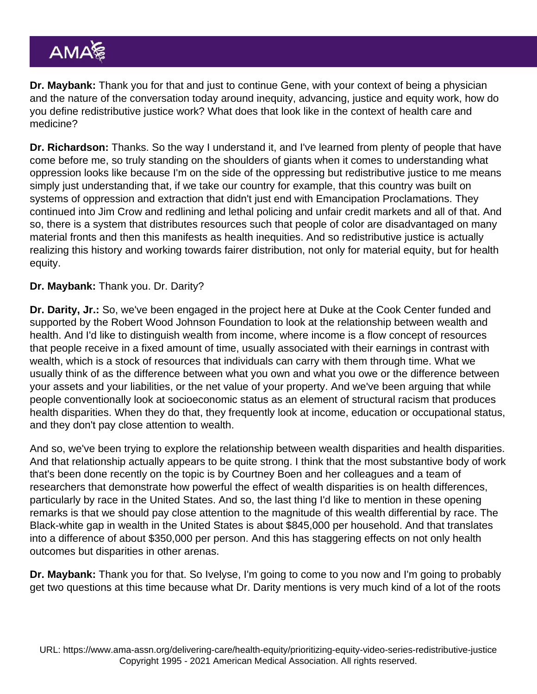Dr. Maybank: Thank you for that and just to continue Gene, with your context of being a physician and the nature of the conversation today around inequity, advancing, justice and equity work, how do you define redistributive justice work? What does that look like in the context of health care and medicine?

Dr. Richardson: Thanks. So the way I understand it, and I've learned from plenty of people that have come before me, so truly standing on the shoulders of giants when it comes to understanding what oppression looks like because I'm on the side of the oppressing but redistributive justice to me means simply just understanding that, if we take our country for example, that this country was built on systems of oppression and extraction that didn't just end with Emancipation Proclamations. They continued into Jim Crow and redlining and lethal policing and unfair credit markets and all of that. And so, there is a system that distributes resources such that people of color are disadvantaged on many material fronts and then this manifests as health inequities. And so redistributive justice is actually realizing this history and working towards fairer distribution, not only for material equity, but for health equity.

Dr. Maybank: Thank you. Dr. Darity?

Dr. Darity, Jr.: So, we've been engaged in the project here at Duke at the Cook Center funded and supported by the Robert Wood Johnson Foundation to look at the relationship between wealth and health. And I'd like to distinguish wealth from income, where income is a flow concept of resources that people receive in a fixed amount of time, usually associated with their earnings in contrast with wealth, which is a stock of resources that individuals can carry with them through time. What we usually think of as the difference between what you own and what you owe or the difference between your assets and your liabilities, or the net value of your property. And we've been arguing that while people conventionally look at socioeconomic status as an element of structural racism that produces health disparities. When they do that, they frequently look at income, education or occupational status, and they don't pay close attention to wealth.

And so, we've been trying to explore the relationship between wealth disparities and health disparities. And that relationship actually appears to be quite strong. I think that the most substantive body of work that's been done recently on the topic is by Courtney Boen and her colleagues and a team of researchers that demonstrate how powerful the effect of wealth disparities is on health differences, particularly by race in the United States. And so, the last thing I'd like to mention in these opening remarks is that we should pay close attention to the magnitude of this wealth differential by race. The Black-white gap in wealth in the United States is about \$845,000 per household. And that translates into a difference of about \$350,000 per person. And this has staggering effects on not only health outcomes but disparities in other arenas.

Dr. Maybank: Thank you for that. So Ivelyse, I'm going to come to you now and I'm going to probably get two questions at this time because what Dr. Darity mentions is very much kind of a lot of the roots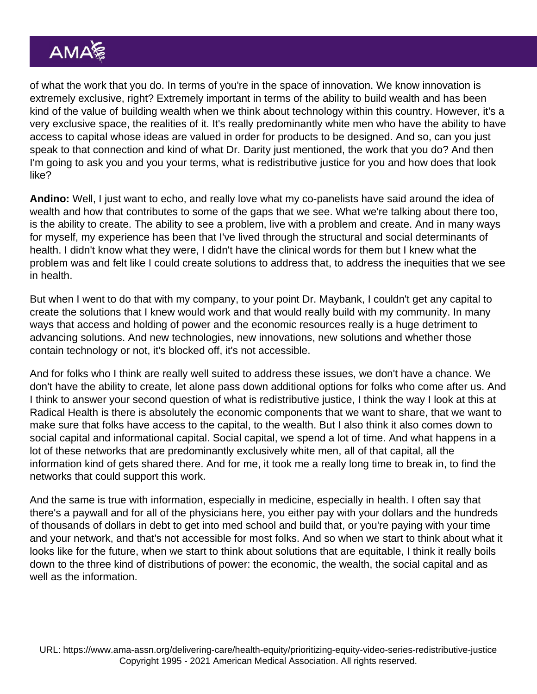of what the work that you do. In terms of you're in the space of innovation. We know innovation is extremely exclusive, right? Extremely important in terms of the ability to build wealth and has been kind of the value of building wealth when we think about technology within this country. However, it's a very exclusive space, the realities of it. It's really predominantly white men who have the ability to have access to capital whose ideas are valued in order for products to be designed. And so, can you just speak to that connection and kind of what Dr. Darity just mentioned, the work that you do? And then I'm going to ask you and you your terms, what is redistributive justice for you and how does that look like?

Andino: Well, I just want to echo, and really love what my co-panelists have said around the idea of wealth and how that contributes to some of the gaps that we see. What we're talking about there too, is the ability to create. The ability to see a problem, live with a problem and create. And in many ways for myself, my experience has been that I've lived through the structural and social determinants of health. I didn't know what they were, I didn't have the clinical words for them but I knew what the problem was and felt like I could create solutions to address that, to address the inequities that we see in health.

But when I went to do that with my company, to your point Dr. Maybank, I couldn't get any capital to create the solutions that I knew would work and that would really build with my community. In many ways that access and holding of power and the economic resources really is a huge detriment to advancing solutions. And new technologies, new innovations, new solutions and whether those contain technology or not, it's blocked off, it's not accessible.

And for folks who I think are really well suited to address these issues, we don't have a chance. We don't have the ability to create, let alone pass down additional options for folks who come after us. And I think to answer your second question of what is redistributive justice, I think the way I look at this at Radical Health is there is absolutely the economic components that we want to share, that we want to make sure that folks have access to the capital, to the wealth. But I also think it also comes down to social capital and informational capital. Social capital, we spend a lot of time. And what happens in a lot of these networks that are predominantly exclusively white men, all of that capital, all the information kind of gets shared there. And for me, it took me a really long time to break in, to find the networks that could support this work.

And the same is true with information, especially in medicine, especially in health. I often say that there's a paywall and for all of the physicians here, you either pay with your dollars and the hundreds of thousands of dollars in debt to get into med school and build that, or you're paying with your time and your network, and that's not accessible for most folks. And so when we start to think about what it looks like for the future, when we start to think about solutions that are equitable, I think it really boils down to the three kind of distributions of power: the economic, the wealth, the social capital and as well as the information.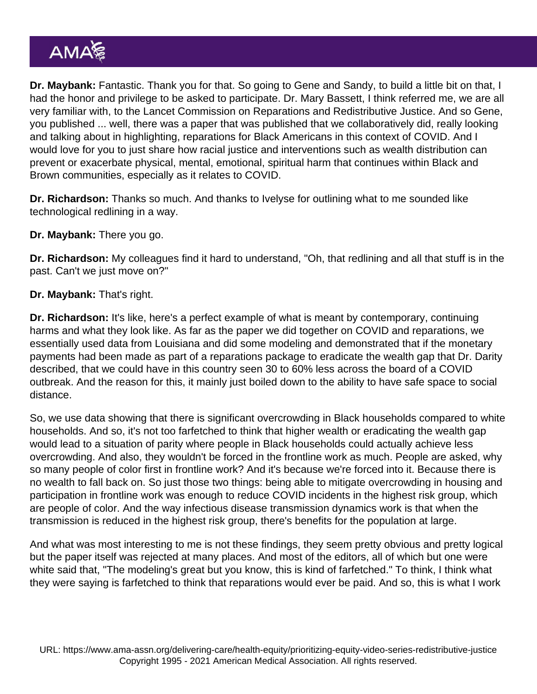Dr. Maybank: Fantastic. Thank you for that. So going to Gene and Sandy, to build a little bit on that, I had the honor and privilege to be asked to participate. Dr. Mary Bassett, I think referred me, we are all very familiar with, to the Lancet Commission on Reparations and Redistributive Justice. And so Gene, you published ... well, there was a paper that was published that we collaboratively did, really looking and talking about in highlighting, reparations for Black Americans in this context of COVID. And I would love for you to just share how racial justice and interventions such as wealth distribution can prevent or exacerbate physical, mental, emotional, spiritual harm that continues within Black and Brown communities, especially as it relates to COVID.

Dr. Richardson: Thanks so much. And thanks to Ivelyse for outlining what to me sounded like technological redlining in a way.

Dr. Maybank: There you go.

Dr. Richardson: My colleagues find it hard to understand, "Oh, that redlining and all that stuff is in the past. Can't we just move on?"

Dr. Maybank: That's right.

Dr. Richardson: It's like, here's a perfect example of what is meant by contemporary, continuing harms and what they look like. As far as the paper we did together on COVID and reparations, we essentially used data from Louisiana and did some modeling and demonstrated that if the monetary payments had been made as part of a reparations package to eradicate the wealth gap that Dr. Darity described, that we could have in this country seen 30 to 60% less across the board of a COVID outbreak. And the reason for this, it mainly just boiled down to the ability to have safe space to social distance.

So, we use data showing that there is significant overcrowding in Black households compared to white households. And so, it's not too farfetched to think that higher wealth or eradicating the wealth gap would lead to a situation of parity where people in Black households could actually achieve less overcrowding. And also, they wouldn't be forced in the frontline work as much. People are asked, why so many people of color first in frontline work? And it's because we're forced into it. Because there is no wealth to fall back on. So just those two things: being able to mitigate overcrowding in housing and participation in frontline work was enough to reduce COVID incidents in the highest risk group, which are people of color. And the way infectious disease transmission dynamics work is that when the transmission is reduced in the highest risk group, there's benefits for the population at large.

And what was most interesting to me is not these findings, they seem pretty obvious and pretty logical but the paper itself was rejected at many places. And most of the editors, all of which but one were white said that, "The modeling's great but you know, this is kind of farfetched." To think, I think what they were saying is farfetched to think that reparations would ever be paid. And so, this is what I work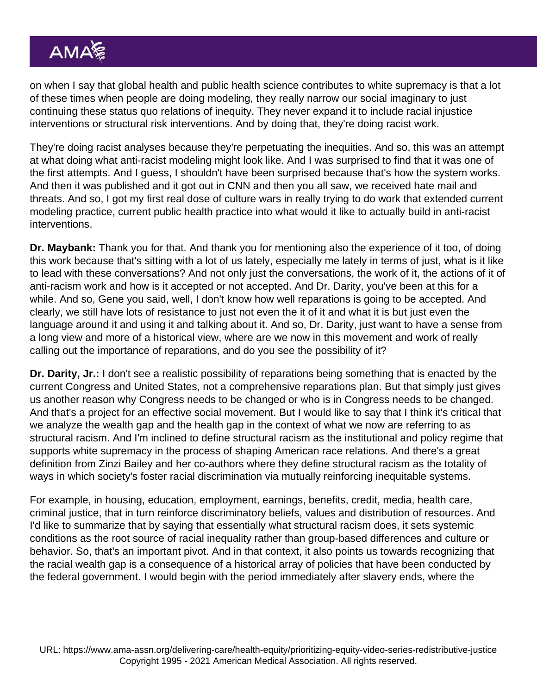on when I say that global health and public health science contributes to white supremacy is that a lot of these times when people are doing modeling, they really narrow our social imaginary to just continuing these status quo relations of inequity. They never expand it to include racial injustice interventions or structural risk interventions. And by doing that, they're doing racist work.

They're doing racist analyses because they're perpetuating the inequities. And so, this was an attempt at what doing what anti-racist modeling might look like. And I was surprised to find that it was one of the first attempts. And I guess, I shouldn't have been surprised because that's how the system works. And then it was published and it got out in CNN and then you all saw, we received hate mail and threats. And so, I got my first real dose of culture wars in really trying to do work that extended current modeling practice, current public health practice into what would it like to actually build in anti-racist interventions.

Dr. Maybank: Thank you for that. And thank you for mentioning also the experience of it too, of doing this work because that's sitting with a lot of us lately, especially me lately in terms of just, what is it like to lead with these conversations? And not only just the conversations, the work of it, the actions of it of anti-racism work and how is it accepted or not accepted. And Dr. Darity, you've been at this for a while. And so, Gene you said, well, I don't know how well reparations is going to be accepted. And clearly, we still have lots of resistance to just not even the it of it and what it is but just even the language around it and using it and talking about it. And so, Dr. Darity, just want to have a sense from a long view and more of a historical view, where are we now in this movement and work of really calling out the importance of reparations, and do you see the possibility of it?

Dr. Darity, Jr.: I don't see a realistic possibility of reparations being something that is enacted by the current Congress and United States, not a comprehensive reparations plan. But that simply just gives us another reason why Congress needs to be changed or who is in Congress needs to be changed. And that's a project for an effective social movement. But I would like to say that I think it's critical that we analyze the wealth gap and the health gap in the context of what we now are referring to as structural racism. And I'm inclined to define structural racism as the institutional and policy regime that supports white supremacy in the process of shaping American race relations. And there's a great definition from Zinzi Bailey and her co-authors where they define structural racism as the totality of ways in which society's foster racial discrimination via mutually reinforcing inequitable systems.

For example, in housing, education, employment, earnings, benefits, credit, media, health care, criminal justice, that in turn reinforce discriminatory beliefs, values and distribution of resources. And I'd like to summarize that by saying that essentially what structural racism does, it sets systemic conditions as the root source of racial inequality rather than group-based differences and culture or behavior. So, that's an important pivot. And in that context, it also points us towards recognizing that the racial wealth gap is a consequence of a historical array of policies that have been conducted by the federal government. I would begin with the period immediately after slavery ends, where the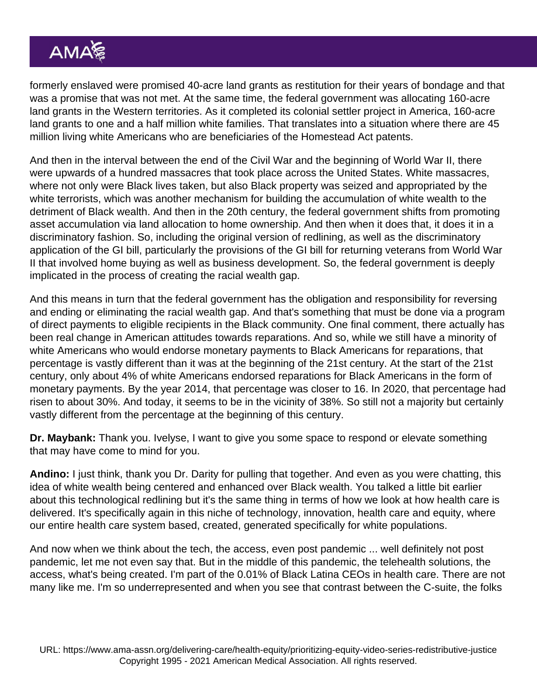formerly enslaved were promised 40-acre land grants as restitution for their years of bondage and that was a promise that was not met. At the same time, the federal government was allocating 160-acre land grants in the Western territories. As it completed its colonial settler project in America, 160-acre land grants to one and a half million white families. That translates into a situation where there are 45 million living white Americans who are beneficiaries of the Homestead Act patents.

And then in the interval between the end of the Civil War and the beginning of World War II, there were upwards of a hundred massacres that took place across the United States. White massacres, where not only were Black lives taken, but also Black property was seized and appropriated by the white terrorists, which was another mechanism for building the accumulation of white wealth to the detriment of Black wealth. And then in the 20th century, the federal government shifts from promoting asset accumulation via land allocation to home ownership. And then when it does that, it does it in a discriminatory fashion. So, including the original version of redlining, as well as the discriminatory application of the GI bill, particularly the provisions of the GI bill for returning veterans from World War II that involved home buying as well as business development. So, the federal government is deeply implicated in the process of creating the racial wealth gap.

And this means in turn that the federal government has the obligation and responsibility for reversing and ending or eliminating the racial wealth gap. And that's something that must be done via a program of direct payments to eligible recipients in the Black community. One final comment, there actually has been real change in American attitudes towards reparations. And so, while we still have a minority of white Americans who would endorse monetary payments to Black Americans for reparations, that percentage is vastly different than it was at the beginning of the 21st century. At the start of the 21st century, only about 4% of white Americans endorsed reparations for Black Americans in the form of monetary payments. By the year 2014, that percentage was closer to 16. In 2020, that percentage had risen to about 30%. And today, it seems to be in the vicinity of 38%. So still not a majority but certainly vastly different from the percentage at the beginning of this century.

Dr. Maybank: Thank you. Ivelyse, I want to give you some space to respond or elevate something that may have come to mind for you.

Andino: I just think, thank you Dr. Darity for pulling that together. And even as you were chatting, this idea of white wealth being centered and enhanced over Black wealth. You talked a little bit earlier about this technological redlining but it's the same thing in terms of how we look at how health care is delivered. It's specifically again in this niche of technology, innovation, health care and equity, where our entire health care system based, created, generated specifically for white populations.

And now when we think about the tech, the access, even post pandemic ... well definitely not post pandemic, let me not even say that. But in the middle of this pandemic, the telehealth solutions, the access, what's being created. I'm part of the 0.01% of Black Latina CEOs in health care. There are not many like me. I'm so underrepresented and when you see that contrast between the C-suite, the folks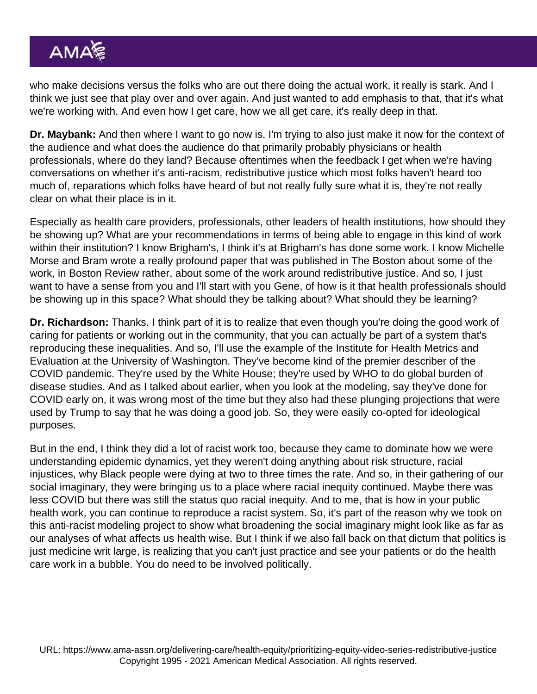who make decisions versus the folks who are out there doing the actual work, it really is stark. And I think we just see that play over and over again. And just wanted to add emphasis to that, that it's what we're working with. And even how I get care, how we all get care, it's really deep in that.

Dr. Maybank: And then where I want to go now is, I'm trying to also just make it now for the context of the audience and what does the audience do that primarily probably physicians or health professionals, where do they land? Because oftentimes when the feedback I get when we're having conversations on whether it's anti-racism, redistributive justice which most folks haven't heard too much of, reparations which folks have heard of but not really fully sure what it is, they're not really clear on what their place is in it.

Especially as health care providers, professionals, other leaders of health institutions, how should they be showing up? What are your recommendations in terms of being able to engage in this kind of work within their institution? I know Brigham's, I think it's at Brigham's has done some work. I know Michelle Morse and Bram wrote a really profound paper that was published in The Boston about some of the work, in Boston Review rather, about some of the work around redistributive justice. And so, I just want to have a sense from you and I'll start with you Gene, of how is it that health professionals should be showing up in this space? What should they be talking about? What should they be learning?

Dr. Richardson: Thanks. I think part of it is to realize that even though you're doing the good work of caring for patients or working out in the community, that you can actually be part of a system that's reproducing these inequalities. And so, I'll use the example of the Institute for Health Metrics and Evaluation at the University of Washington. They've become kind of the premier describer of the COVID pandemic. They're used by the White House; they're used by WHO to do global burden of disease studies. And as I talked about earlier, when you look at the modeling, say they've done for COVID early on, it was wrong most of the time but they also had these plunging projections that were used by Trump to say that he was doing a good job. So, they were easily co-opted for ideological purposes.

But in the end, I think they did a lot of racist work too, because they came to dominate how we were understanding epidemic dynamics, yet they weren't doing anything about risk structure, racial injustices, why Black people were dying at two to three times the rate. And so, in their gathering of our social imaginary, they were bringing us to a place where racial inequity continued. Maybe there was less COVID but there was still the status quo racial inequity. And to me, that is how in your public health work, you can continue to reproduce a racist system. So, it's part of the reason why we took on this anti-racist modeling project to show what broadening the social imaginary might look like as far as our analyses of what affects us health wise. But I think if we also fall back on that dictum that politics is just medicine writ large, is realizing that you can't just practice and see your patients or do the health care work in a bubble. You do need to be involved politically.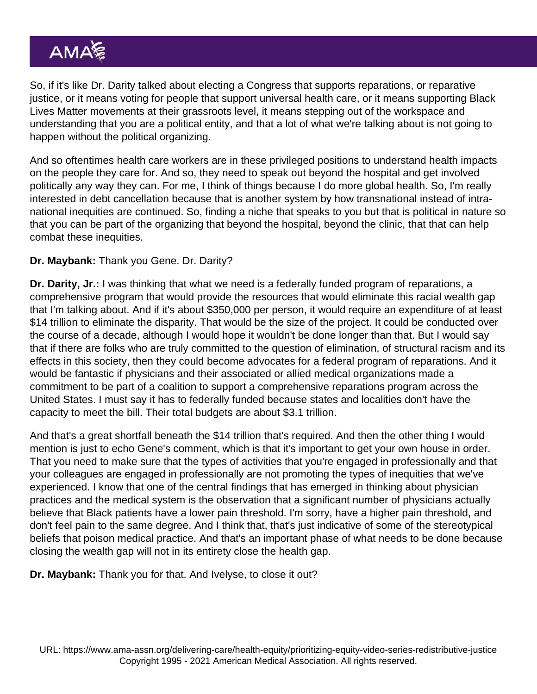So, if it's like Dr. Darity talked about electing a Congress that supports reparations, or reparative justice, or it means voting for people that support universal health care, or it means supporting Black Lives Matter movements at their grassroots level, it means stepping out of the workspace and understanding that you are a political entity, and that a lot of what we're talking about is not going to happen without the political organizing.

And so oftentimes health care workers are in these privileged positions to understand health impacts on the people they care for. And so, they need to speak out beyond the hospital and get involved politically any way they can. For me, I think of things because I do more global health. So, I'm really interested in debt cancellation because that is another system by how transnational instead of intranational inequities are continued. So, finding a niche that speaks to you but that is political in nature so that you can be part of the organizing that beyond the hospital, beyond the clinic, that that can help combat these inequities.

### Dr. Maybank: Thank you Gene. Dr. Darity?

Dr. Darity, Jr.: I was thinking that what we need is a federally funded program of reparations, a comprehensive program that would provide the resources that would eliminate this racial wealth gap that I'm talking about. And if it's about \$350,000 per person, it would require an expenditure of at least \$14 trillion to eliminate the disparity. That would be the size of the project. It could be conducted over the course of a decade, although I would hope it wouldn't be done longer than that. But I would say that if there are folks who are truly committed to the question of elimination, of structural racism and its effects in this society, then they could become advocates for a federal program of reparations. And it would be fantastic if physicians and their associated or allied medical organizations made a commitment to be part of a coalition to support a comprehensive reparations program across the United States. I must say it has to federally funded because states and localities don't have the capacity to meet the bill. Their total budgets are about \$3.1 trillion.

And that's a great shortfall beneath the \$14 trillion that's required. And then the other thing I would mention is just to echo Gene's comment, which is that it's important to get your own house in order. That you need to make sure that the types of activities that you're engaged in professionally and that your colleagues are engaged in professionally are not promoting the types of inequities that we've experienced. I know that one of the central findings that has emerged in thinking about physician practices and the medical system is the observation that a significant number of physicians actually believe that Black patients have a lower pain threshold. I'm sorry, have a higher pain threshold, and don't feel pain to the same degree. And I think that, that's just indicative of some of the stereotypical beliefs that poison medical practice. And that's an important phase of what needs to be done because closing the wealth gap will not in its entirety close the health gap.

Dr. Maybank: Thank you for that. And Ivelyse, to close it out?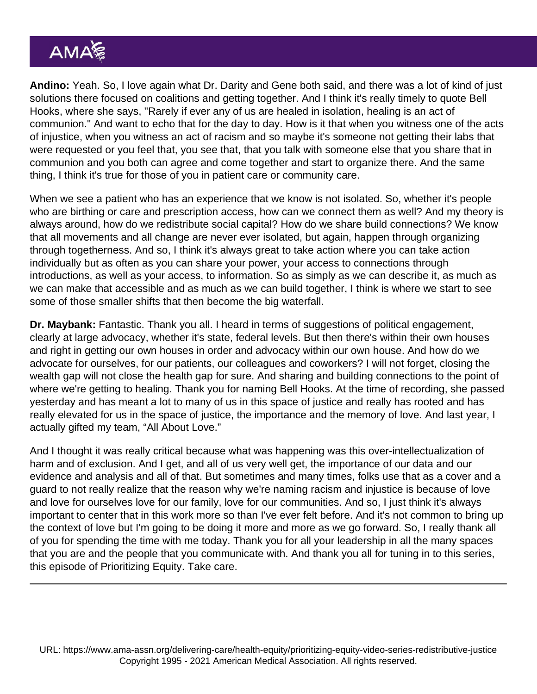Andino: Yeah. So, I love again what Dr. Darity and Gene both said, and there was a lot of kind of just solutions there focused on coalitions and getting together. And I think it's really timely to quote Bell Hooks, where she says, "Rarely if ever any of us are healed in isolation, healing is an act of communion." And want to echo that for the day to day. How is it that when you witness one of the acts of injustice, when you witness an act of racism and so maybe it's someone not getting their labs that were requested or you feel that, you see that, that you talk with someone else that you share that in communion and you both can agree and come together and start to organize there. And the same thing, I think it's true for those of you in patient care or community care.

When we see a patient who has an experience that we know is not isolated. So, whether it's people who are birthing or care and prescription access, how can we connect them as well? And my theory is always around, how do we redistribute social capital? How do we share build connections? We know that all movements and all change are never ever isolated, but again, happen through organizing through togetherness. And so, I think it's always great to take action where you can take action individually but as often as you can share your power, your access to connections through introductions, as well as your access, to information. So as simply as we can describe it, as much as we can make that accessible and as much as we can build together, I think is where we start to see some of those smaller shifts that then become the big waterfall.

Dr. Maybank: Fantastic. Thank you all. I heard in terms of suggestions of political engagement, clearly at large advocacy, whether it's state, federal levels. But then there's within their own houses and right in getting our own houses in order and advocacy within our own house. And how do we advocate for ourselves, for our patients, our colleagues and coworkers? I will not forget, closing the wealth gap will not close the health gap for sure. And sharing and building connections to the point of where we're getting to healing. Thank you for naming Bell Hooks. At the time of recording, she passed yesterday and has meant a lot to many of us in this space of justice and really has rooted and has really elevated for us in the space of justice, the importance and the memory of love. And last year, I actually gifted my team, "All About Love."

And I thought it was really critical because what was happening was this over-intellectualization of harm and of exclusion. And I get, and all of us very well get, the importance of our data and our evidence and analysis and all of that. But sometimes and many times, folks use that as a cover and a guard to not really realize that the reason why we're naming racism and injustice is because of love and love for ourselves love for our family, love for our communities. And so, I just think it's always important to center that in this work more so than I've ever felt before. And it's not common to bring up the context of love but I'm going to be doing it more and more as we go forward. So, I really thank all of you for spending the time with me today. Thank you for all your leadership in all the many spaces that you are and the people that you communicate with. And thank you all for tuning in to this series, this episode of Prioritizing Equity. Take care.